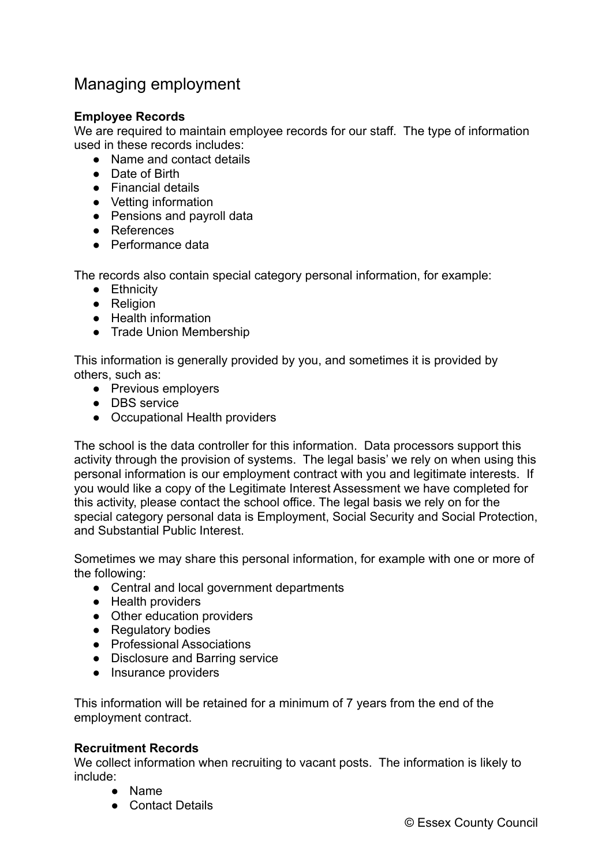## Managing employment

## **Employee Records**

We are required to maintain employee records for our staff. The type of information used in these records includes:

- Name and contact details
- Date of Birth
- Financial details
- Vetting information
- Pensions and payroll data
- References
- Performance data

The records also contain special category personal information, for example:

- Ethnicity
- Religion
- Health information
- Trade Union Membership

This information is generally provided by you, and sometimes it is provided by others, such as:

- Previous employers
- DBS service
- Occupational Health providers

The school is the data controller for this information. Data processors support this activity through the provision of systems. The legal basis' we rely on when using this personal information is our employment contract with you and legitimate interests. If you would like a copy of the Legitimate Interest Assessment we have completed for this activity, please contact the school office. The legal basis we rely on for the special category personal data is Employment, Social Security and Social Protection, and Substantial Public Interest.

Sometimes we may share this personal information, for example with one or more of the following:

- Central and local government departments
- Health providers
- Other education providers
- Regulatory bodies
- Professional Associations
- Disclosure and Barring service
- Insurance providers

This information will be retained for a minimum of 7 years from the end of the employment contract.

## **Recruitment Records**

We collect information when recruiting to vacant posts. The information is likely to include:

- Name
- Contact Details